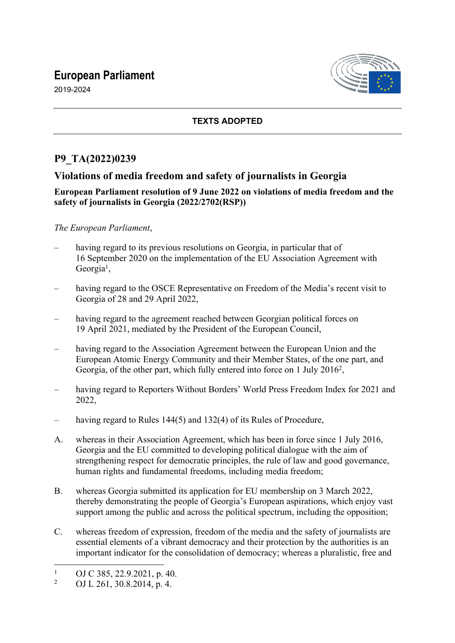# **European Parliament**

2019-2024



### **TEXTS ADOPTED**

## **P9\_TA(2022)0239**

### **Violations of media freedom and safety of journalists in Georgia**

#### **European Parliament resolution of 9 June 2022 on violations of media freedom and the safety of journalists in Georgia (2022/2702(RSP))**

#### *The European Parliament*,

- having regard to its previous resolutions on Georgia, in particular that of 16 September 2020 on the implementation of the EU Association Agreement with Georgia<sup>1</sup>,
- having regard to the OSCE Representative on Freedom of the Media's recent visit to Georgia of 28 and 29 April 2022,
- having regard to the agreement reached between Georgian political forces on 19 April 2021, mediated by the President of the European Council,
- having regard to the Association Agreement between the European Union and the European Atomic Energy Community and their Member States, of the one part, and Georgia, of the other part, which fully entered into force on 1 July 2016<sup>2</sup>,
- having regard to Reporters Without Borders' World Press Freedom Index for 2021 and 2022,
- having regard to Rules 144(5) and 132(4) of its Rules of Procedure,
- A. whereas in their Association Agreement, which has been in force since 1 July 2016, Georgia and the EU committed to developing political dialogue with the aim of strengthening respect for democratic principles, the rule of law and good governance, human rights and fundamental freedoms, including media freedom;
- B. whereas Georgia submitted its application for EU membership on 3 March 2022, thereby demonstrating the people of Georgia's European aspirations, which enjoy vast support among the public and across the political spectrum, including the opposition;
- C. whereas freedom of expression, freedom of the media and the safety of journalists are essential elements of a vibrant democracy and their protection by the authorities is an important indicator for the consolidation of democracy; whereas a pluralistic, free and

<sup>1</sup> OJ C 385, 22.9.2021, p. 40.

 $\overline{2}$ OJ L 261, 30.8.2014, p. 4.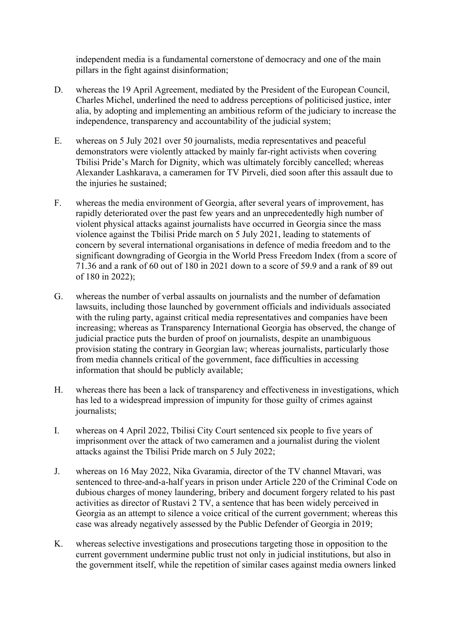independent media is a fundamental cornerstone of democracy and one of the main pillars in the fight against disinformation;

- D. whereas the 19 April Agreement, mediated by the President of the European Council, Charles Michel, underlined the need to address perceptions of politicised justice, inter alia, by adopting and implementing an ambitious reform of the judiciary to increase the independence, transparency and accountability of the judicial system;
- E. whereas on 5 July 2021 over 50 journalists, media representatives and peaceful demonstrators were violently attacked by mainly far-right activists when covering Tbilisi Pride's March for Dignity, which was ultimately forcibly cancelled; whereas Alexander Lashkarava, a cameramen for TV Pirveli, died soon after this assault due to the injuries he sustained;
- F. whereas the media environment of Georgia, after several years of improvement, has rapidly deteriorated over the past few years and an unprecedentedly high number of violent physical attacks against journalists have occurred in Georgia since the mass violence against the Tbilisi Pride march on 5 July 2021, leading to statements of concern by several international organisations in defence of media freedom and to the significant downgrading of Georgia in the World Press Freedom Index (from a score of 71.36 and a rank of 60 out of 180 in 2021 down to a score of 59.9 and a rank of 89 out of 180 in 2022);
- G. whereas the number of verbal assaults on journalists and the number of defamation lawsuits, including those launched by government officials and individuals associated with the ruling party, against critical media representatives and companies have been increasing; whereas as Transparency International Georgia has observed, the change of judicial practice puts the burden of proof on journalists, despite an unambiguous provision stating the contrary in Georgian law; whereas journalists, particularly those from media channels critical of the government, face difficulties in accessing information that should be publicly available;
- H. whereas there has been a lack of transparency and effectiveness in investigations, which has led to a widespread impression of impunity for those guilty of crimes against journalists;
- I. whereas on 4 April 2022, Tbilisi City Court sentenced six people to five years of imprisonment over the attack of two cameramen and a journalist during the violent attacks against the Tbilisi Pride march on 5 July 2022;
- J. whereas on 16 May 2022, Nika Gvaramia, director of the TV channel Mtavari, was sentenced to three-and-a-half years in prison under Article 220 of the Criminal Code on dubious charges of money laundering, bribery and document forgery related to his past activities as director of Rustavi 2 TV, a sentence that has been widely perceived in Georgia as an attempt to silence a voice critical of the current government; whereas this case was already negatively assessed by the Public Defender of Georgia in 2019;
- K. whereas selective investigations and prosecutions targeting those in opposition to the current government undermine public trust not only in judicial institutions, but also in the government itself, while the repetition of similar cases against media owners linked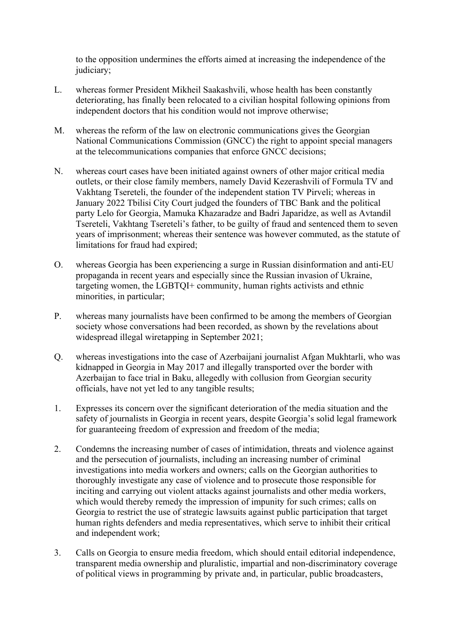to the opposition undermines the efforts aimed at increasing the independence of the judiciary;

- L. whereas former President Mikheil Saakashvili, whose health has been constantly deteriorating, has finally been relocated to a civilian hospital following opinions from independent doctors that his condition would not improve otherwise;
- M. whereas the reform of the law on electronic communications gives the Georgian National Communications Commission (GNCC) the right to appoint special managers at the telecommunications companies that enforce GNCC decisions;
- N. whereas court cases have been initiated against owners of other major critical media outlets, or their close family members, namely David Kezerashvili of Formula TV and Vakhtang Tsereteli, the founder of the independent station TV Pirveli; whereas in January 2022 Tbilisi City Court judged the founders of TBC Bank and the political party Lelo for Georgia, Mamuka Khazaradze and Badri Japaridze, as well as Avtandil Tsereteli, Vakhtang Tsereteli's father, to be guilty of fraud and sentenced them to seven years of imprisonment; whereas their sentence was however commuted, as the statute of limitations for fraud had expired;
- O. whereas Georgia has been experiencing a surge in Russian disinformation and anti-EU propaganda in recent years and especially since the Russian invasion of Ukraine, targeting women, the LGBTQI+ community, human rights activists and ethnic minorities, in particular;
- P. whereas many journalists have been confirmed to be among the members of Georgian society whose conversations had been recorded, as shown by the revelations about widespread illegal wiretapping in September 2021;
- Q. whereas investigations into the case of Azerbaijani journalist Afgan Mukhtarli, who was kidnapped in Georgia in May 2017 and illegally transported over the border with Azerbaijan to face trial in Baku, allegedly with collusion from Georgian security officials, have not yet led to any tangible results;
- 1. Expresses its concern over the significant deterioration of the media situation and the safety of journalists in Georgia in recent years, despite Georgia's solid legal framework for guaranteeing freedom of expression and freedom of the media;
- 2. Condemns the increasing number of cases of intimidation, threats and violence against and the persecution of journalists, including an increasing number of criminal investigations into media workers and owners; calls on the Georgian authorities to thoroughly investigate any case of violence and to prosecute those responsible for inciting and carrying out violent attacks against journalists and other media workers, which would thereby remedy the impression of impunity for such crimes; calls on Georgia to restrict the use of strategic lawsuits against public participation that target human rights defenders and media representatives, which serve to inhibit their critical and independent work;
- 3. Calls on Georgia to ensure media freedom, which should entail editorial independence, transparent media ownership and pluralistic, impartial and non-discriminatory coverage of political views in programming by private and, in particular, public broadcasters,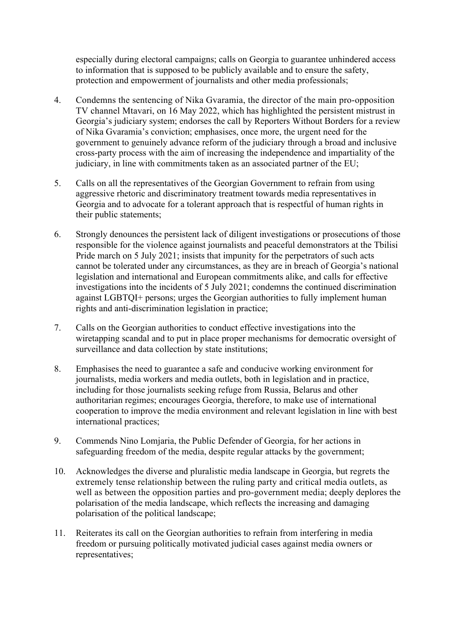especially during electoral campaigns; calls on Georgia to guarantee unhindered access to information that is supposed to be publicly available and to ensure the safety, protection and empowerment of journalists and other media professionals;

- 4. Condemns the sentencing of Nika Gvaramia, the director of the main pro-opposition TV channel Mtavari, on 16 May 2022, which has highlighted the persistent mistrust in Georgia's judiciary system; endorses the call by Reporters Without Borders for a review of Nika Gvaramia's conviction; emphasises, once more, the urgent need for the government to genuinely advance reform of the judiciary through a broad and inclusive cross-party process with the aim of increasing the independence and impartiality of the judiciary, in line with commitments taken as an associated partner of the EU;
- 5. Calls on all the representatives of the Georgian Government to refrain from using aggressive rhetoric and discriminatory treatment towards media representatives in Georgia and to advocate for a tolerant approach that is respectful of human rights in their public statements;
- 6. Strongly denounces the persistent lack of diligent investigations or prosecutions of those responsible for the violence against journalists and peaceful demonstrators at the Tbilisi Pride march on 5 July 2021; insists that impunity for the perpetrators of such acts cannot be tolerated under any circumstances, as they are in breach of Georgia's national legislation and international and European commitments alike, and calls for effective investigations into the incidents of 5 July 2021; condemns the continued discrimination against LGBTQI+ persons; urges the Georgian authorities to fully implement human rights and anti-discrimination legislation in practice;
- 7. Calls on the Georgian authorities to conduct effective investigations into the wiretapping scandal and to put in place proper mechanisms for democratic oversight of surveillance and data collection by state institutions;
- 8. Emphasises the need to guarantee a safe and conducive working environment for journalists, media workers and media outlets, both in legislation and in practice, including for those journalists seeking refuge from Russia, Belarus and other authoritarian regimes; encourages Georgia, therefore, to make use of international cooperation to improve the media environment and relevant legislation in line with best international practices;
- 9. Commends Nino Lomjaria, the Public Defender of Georgia, for her actions in safeguarding freedom of the media, despite regular attacks by the government;
- 10. Acknowledges the diverse and pluralistic media landscape in Georgia, but regrets the extremely tense relationship between the ruling party and critical media outlets, as well as between the opposition parties and pro-government media; deeply deplores the polarisation of the media landscape, which reflects the increasing and damaging polarisation of the political landscape;
- 11. Reiterates its call on the Georgian authorities to refrain from interfering in media freedom or pursuing politically motivated judicial cases against media owners or representatives;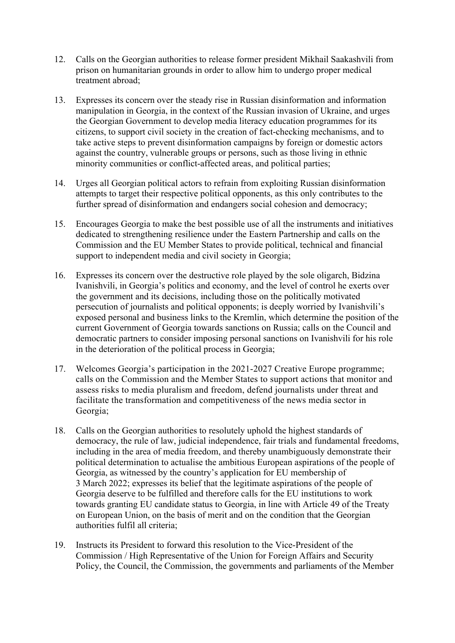- 12. Calls on the Georgian authorities to release former president Mikhail Saakashvili from prison on humanitarian grounds in order to allow him to undergo proper medical treatment abroad;
- 13. Expresses its concern over the steady rise in Russian disinformation and information manipulation in Georgia, in the context of the Russian invasion of Ukraine, and urges the Georgian Government to develop media literacy education programmes for its citizens, to support civil society in the creation of fact-checking mechanisms, and to take active steps to prevent disinformation campaigns by foreign or domestic actors against the country, vulnerable groups or persons, such as those living in ethnic minority communities or conflict-affected areas, and political parties;
- 14. Urges all Georgian political actors to refrain from exploiting Russian disinformation attempts to target their respective political opponents, as this only contributes to the further spread of disinformation and endangers social cohesion and democracy;
- 15. Encourages Georgia to make the best possible use of all the instruments and initiatives dedicated to strengthening resilience under the Eastern Partnership and calls on the Commission and the EU Member States to provide political, technical and financial support to independent media and civil society in Georgia;
- 16. Expresses its concern over the destructive role played by the sole oligarch, Bidzina Ivanishvili, in Georgia's politics and economy, and the level of control he exerts over the government and its decisions, including those on the politically motivated persecution of journalists and political opponents; is deeply worried by Ivanishvili's exposed personal and business links to the Kremlin, which determine the position of the current Government of Georgia towards sanctions on Russia; calls on the Council and democratic partners to consider imposing personal sanctions on Ivanishvili for his role in the deterioration of the political process in Georgia;
- 17. Welcomes Georgia's participation in the 2021-2027 Creative Europe programme; calls on the Commission and the Member States to support actions that monitor and assess risks to media pluralism and freedom, defend journalists under threat and facilitate the transformation and competitiveness of the news media sector in Georgia;
- 18. Calls on the Georgian authorities to resolutely uphold the highest standards of democracy, the rule of law, judicial independence, fair trials and fundamental freedoms, including in the area of media freedom, and thereby unambiguously demonstrate their political determination to actualise the ambitious European aspirations of the people of Georgia, as witnessed by the country's application for EU membership of 3 March 2022; expresses its belief that the legitimate aspirations of the people of Georgia deserve to be fulfilled and therefore calls for the EU institutions to work towards granting EU candidate status to Georgia, in line with Article 49 of the Treaty on European Union, on the basis of merit and on the condition that the Georgian authorities fulfil all criteria;
- 19. Instructs its President to forward this resolution to the Vice-President of the Commission / High Representative of the Union for Foreign Affairs and Security Policy, the Council, the Commission, the governments and parliaments of the Member